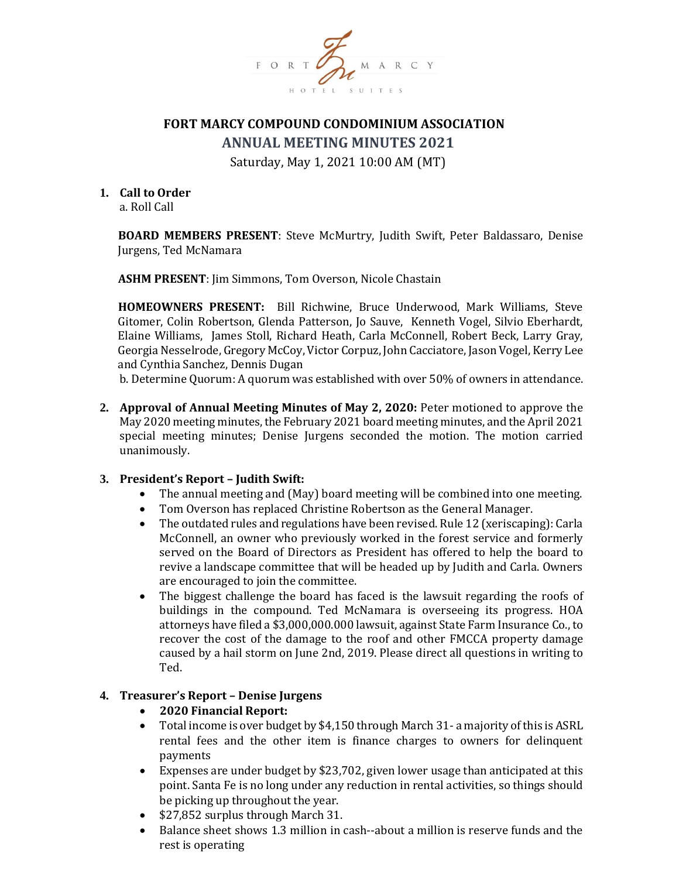

# **FORT MARCY COMPOUND CONDOMINIUM ASSOCIATION**

**ANNUAL MEETING MINUTES 2021**

Saturday, May 1, 2021 10:00 AM (MT)

### **1. Call to Order**

a. Roll Call

**BOARD MEMBERS PRESENT**: Steve McMurtry, Judith Swift, Peter Baldassaro, Denise Jurgens, Ted McNamara

**ASHM PRESENT**: Jim Simmons, Tom Overson, Nicole Chastain

**HOMEOWNERS PRESENT:** Bill Richwine, Bruce Underwood, Mark Williams, Steve Gitomer, Colin Robertson, Glenda Patterson, Jo Sauve, Kenneth Vogel, Silvio Eberhardt, Elaine Williams, James Stoll, Richard Heath, Carla McConnell, Robert Beck, Larry Gray, Georgia Nesselrode, Gregory McCoy, Victor Corpuz, John Cacciatore, Jason Vogel, Kerry Lee and Cynthia Sanchez, Dennis Dugan

b. Determine Quorum: A quorum was established with over 50% of owners in attendance.

**2. Approval of Annual Meeting Minutes of May 2, 2020:** Peter motioned to approve the May 2020 meeting minutes, the February 2021 board meeting minutes, and the April 2021 special meeting minutes; Denise Jurgens seconded the motion. The motion carried unanimously.

#### **3. President's Report – Judith Swift:**

- The annual meeting and (May) board meeting will be combined into one meeting.
- Tom Overson has replaced Christine Robertson as the General Manager.
- The outdated rules and regulations have been revised. Rule 12 (xeriscaping): Carla McConnell, an owner who previously worked in the forest service and formerly served on the Board of Directors as President has offered to help the board to revive a landscape committee that will be headed up by Judith and Carla. Owners are encouraged to join the committee.
- The biggest challenge the board has faced is the lawsuit regarding the roofs of buildings in the compound. Ted McNamara is overseeing its progress. HOA attorneys have filed a \$3,000,000.000 lawsuit, against State Farm Insurance Co., to recover the cost of the damage to the roof and other FMCCA property damage caused by a hail storm on June 2nd, 2019. Please direct all questions in writing to Ted.

#### **4. Treasurer's Report – Denise Jurgens**

- **2020 Financial Report:**
- Total income is over budget by \$4,150 through March 31- a majority of this is ASRL rental fees and the other item is finance charges to owners for delinquent payments
- Expenses are under budget by \$23,702, given lower usage than anticipated at this point. Santa Fe is no long under any reduction in rental activities, so things should be picking up throughout the year.
- \$27,852 surplus through March 31.
- Balance sheet shows 1.3 million in cash--about a million is reserve funds and the rest is operating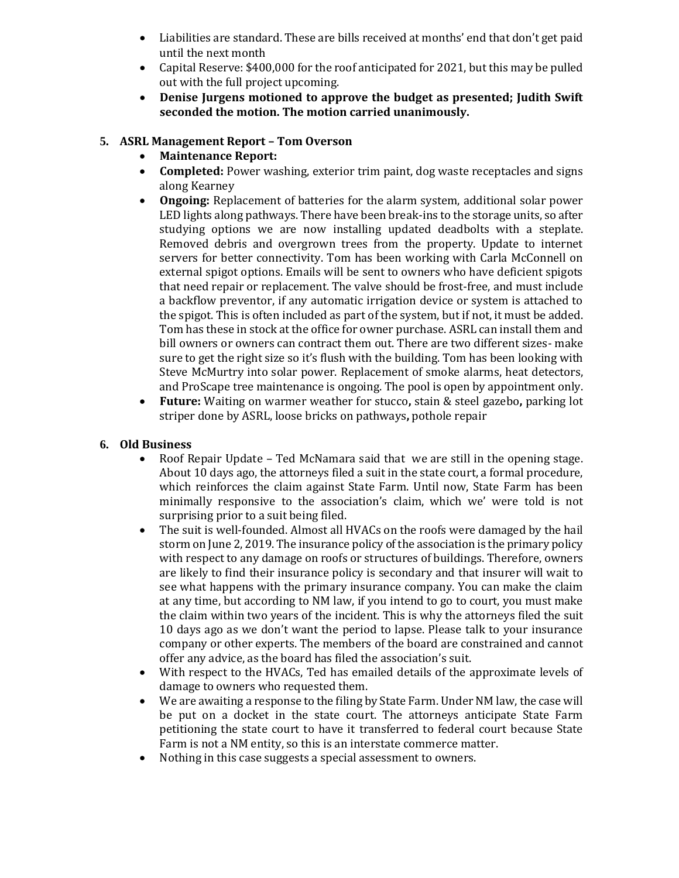- Liabilities are standard. These are bills received at months' end that don't get paid until the next month
- Capital Reserve: \$400,000 for the roof anticipated for 2021, but this may be pulled out with the full project upcoming.
- **Denise Jurgens motioned to approve the budget as presented; Judith Swift seconded the motion. The motion carried unanimously.**

## **5. ASRL Management Report – Tom Overson**

- **Maintenance Report:**
- **Completed:** Power washing, exterior trim paint, dog waste receptacles and signs along Kearney
- **Ongoing:** Replacement of batteries for the alarm system, additional solar power LED lights along pathways. There have been break-ins to the storage units, so after studying options we are now installing updated deadbolts with a steplate. Removed debris and overgrown trees from the property. Update to internet servers for better connectivity. Tom has been working with Carla McConnell on external spigot options. Emails will be sent to owners who have deficient spigots that need repair or replacement. The valve should be frost-free, and must include a backflow preventor, if any automatic irrigation device or system is attached to the spigot. This is often included as part of the system, but if not, it must be added. Tom has these in stock at the office for owner purchase. ASRL can install them and bill owners or owners can contract them out. There are two different sizes- make sure to get the right size so it's flush with the building. Tom has been looking with Steve McMurtry into solar power. Replacement of smoke alarms, heat detectors, and ProScape tree maintenance is ongoing. The pool is open by appointment only.
- **Future:** Waiting on warmer weather for stucco**,** stain & steel gazebo**,** parking lot striper done by ASRL, loose bricks on pathways**,** pothole repair

### **6. Old Business**

- Roof Repair Update Ted McNamara said that we are still in the opening stage. About 10 days ago, the attorneys filed a suit in the state court, a formal procedure, which reinforces the claim against State Farm. Until now, State Farm has been minimally responsive to the association's claim, which we' were told is not surprising prior to a suit being filed.
- The suit is well-founded. Almost all HVACs on the roofs were damaged by the hail storm on June 2, 2019. The insurance policy of the association is the primary policy with respect to any damage on roofs or structures of buildings. Therefore, owners are likely to find their insurance policy is secondary and that insurer will wait to see what happens with the primary insurance company. You can make the claim at any time, but according to NM law, if you intend to go to court, you must make the claim within two years of the incident. This is why the attorneys filed the suit 10 days ago as we don't want the period to lapse. Please talk to your insurance company or other experts. The members of the board are constrained and cannot offer any advice, as the board has filed the association's suit.
- With respect to the HVACs, Ted has emailed details of the approximate levels of damage to owners who requested them.
- We are awaiting a response to the filing by State Farm. Under NM law, the case will be put on a docket in the state court. The attorneys anticipate State Farm petitioning the state court to have it transferred to federal court because State Farm is not a NM entity, so this is an interstate commerce matter.
- Nothing in this case suggests a special assessment to owners.